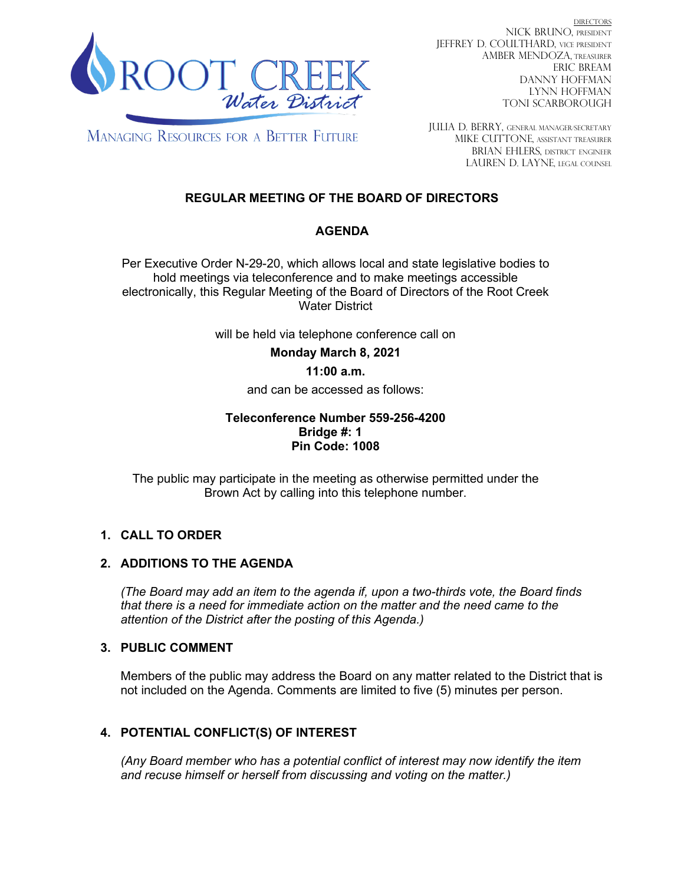

DIRECTORS NICK BRUNO, PRESIDENT JEFFREY D. COULTHARD, Vice President AMBER MENDOZA, TREASURER ERIC BREAM DANNY HOFFMAN LYNN HOFFMAN TONI SCARBOROUGH

**MANAGING RESOURCES FOR A BETTER FUTURE** 

JULIA D. BERRY, GENERAL MANAGER/secretary MIKE CUTTONE, Assistant treasurer BRIAN EHLERS, DISTRICT ENGINEER LAUREN D. LAYNE, LEGAL COUNSEL

# **REGULAR MEETING OF THE BOARD OF DIRECTORS**

## **AGENDA**

Per Executive Order N-29-20, which allows local and state legislative bodies to hold meetings via teleconference and to make meetings accessible electronically, this Regular Meeting of the Board of Directors of the Root Creek Water District

will be held via telephone conference call on

**Monday March 8, 2021**

### **11:00 a.m.**

and can be accessed as follows:

#### **Teleconference Number 559-256-4200 Bridge #: 1 Pin Code: 1008**

The public may participate in the meeting as otherwise permitted under the Brown Act by calling into this telephone number.

### **1. CALL TO ORDER**

### **2. ADDITIONS TO THE AGENDA**

*(The Board may add an item to the agenda if, upon a two-thirds vote, the Board finds that there is a need for immediate action on the matter and the need came to the attention of the District after the posting of this Agenda.)*

### **3. PUBLIC COMMENT**

Members of the public may address the Board on any matter related to the District that is not included on the Agenda. Comments are limited to five (5) minutes per person.

## **4. POTENTIAL CONFLICT(S) OF INTEREST**

*(Any Board member who has a potential conflict of interest may now identify the item and recuse himself or herself from discussing and voting on the matter.)*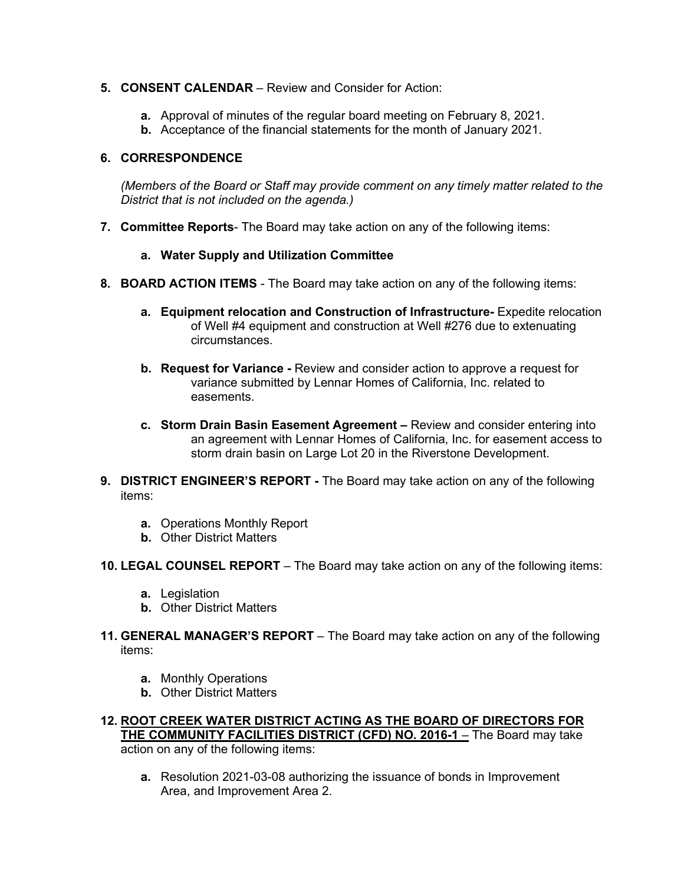- **5. CONSENT CALENDAR**  Review and Consider for Action:
	- **a.** Approval of minutes of the regular board meeting on February 8, 2021.
	- **b.** Acceptance of the financial statements for the month of January 2021.

#### **6. CORRESPONDENCE**

*(Members of the Board or Staff may provide comment on any timely matter related to the District that is not included on the agenda.)*

**7. Committee Reports**- The Board may take action on any of the following items:

#### **a. Water Supply and Utilization Committee**

- **8. BOARD ACTION ITEMS**  The Board may take action on any of the following items:
	- **a. Equipment relocation and Construction of Infrastructure-** Expedite relocation of Well #4 equipment and construction at Well #276 due to extenuating circumstances.
	- **b. Request for Variance -** Review and consider action to approve a request for variance submitted by Lennar Homes of California, Inc. related to easements.
	- **c. Storm Drain Basin Easement Agreement –** Review and consider entering into an agreement with Lennar Homes of California, Inc. for easement access to storm drain basin on Large Lot 20 in the Riverstone Development.
- **9. DISTRICT ENGINEER'S REPORT -** The Board may take action on any of the following items:
	- **a.** Operations Monthly Report
	- **b.** Other District Matters
- **10. LEGAL COUNSEL REPORT** The Board may take action on any of the following items:
	- **a.** Legislation
	- **b.** Other District Matters
- **11. GENERAL MANAGER'S REPORT** The Board may take action on any of the following items:
	- **a.** Monthly Operations
	- **b.** Other District Matters
- **12. ROOT CREEK WATER DISTRICT ACTING AS THE BOARD OF DIRECTORS FOR THE COMMUNITY FACILITIES DISTRICT (CFD) NO. 2016-1** – The Board may take action on any of the following items:
	- **a.** Resolution 2021-03-08 authorizing the issuance of bonds in Improvement Area, and Improvement Area 2.